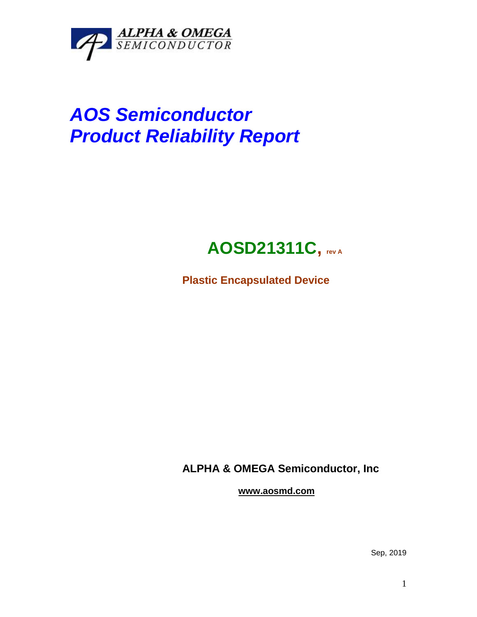

# *AOS Semiconductor Product Reliability Report*

## **AOSD21311C, rev <sup>A</sup>**

**Plastic Encapsulated Device**

**ALPHA & OMEGA Semiconductor, Inc**

**www.aosmd.com**

Sep, 2019